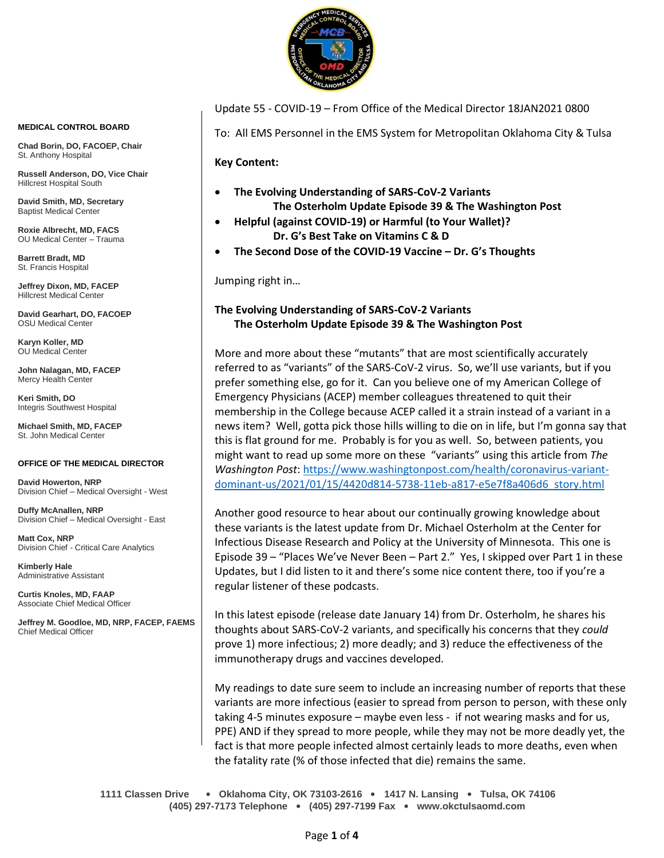

Update 55 - COVID-19 – From Office of the Medical Director 18JAN2021 0800

To: All EMS Personnel in the EMS System for Metropolitan Oklahoma City & Tulsa

**Key Content:**

- **The Evolving Understanding of SARS-CoV-2 Variants The Osterholm Update Episode 39 & The Washington Post**
- **Helpful (against COVID-19) or Harmful (to Your Wallet)? Dr. G's Best Take on Vitamins C & D**
- **The Second Dose of the COVID-19 Vaccine – Dr. G's Thoughts**

Jumping right in…

# **The Evolving Understanding of SARS-CoV-2 Variants The Osterholm Update Episode 39 & The Washington Post**

More and more about these "mutants" that are most scientifically accurately referred to as "variants" of the SARS-CoV-2 virus. So, we'll use variants, but if you prefer something else, go for it. Can you believe one of my American College of Emergency Physicians (ACEP) member colleagues threatened to quit their membership in the College because ACEP called it a strain instead of a variant in a news item? Well, gotta pick those hills willing to die on in life, but I'm gonna say that this is flat ground for me. Probably is for you as well. So, between patients, you might want to read up some more on these "variants" using this article from *The Washington Post*[: https://www.washingtonpost.com/health/coronavirus-variant](https://www.washingtonpost.com/health/coronavirus-variant-dominant-us/2021/01/15/4420d814-5738-11eb-a817-e5e7f8a406d6_story.html)[dominant-us/2021/01/15/4420d814-5738-11eb-a817-e5e7f8a406d6\\_story.html](https://www.washingtonpost.com/health/coronavirus-variant-dominant-us/2021/01/15/4420d814-5738-11eb-a817-e5e7f8a406d6_story.html)

Another good resource to hear about our continually growing knowledge about these variants is the latest update from Dr. Michael Osterholm at the Center for Infectious Disease Research and Policy at the University of Minnesota. This one is Episode 39 – "Places We've Never Been – Part 2." Yes, I skipped over Part 1 in these Updates, but I did listen to it and there's some nice content there, too if you're a regular listener of these podcasts.

In this latest episode (release date January 14) from Dr. Osterholm, he shares his thoughts about SARS-CoV-2 variants, and specifically his concerns that they *could* prove 1) more infectious; 2) more deadly; and 3) reduce the effectiveness of the immunotherapy drugs and vaccines developed.

My readings to date sure seem to include an increasing number of reports that these variants are more infectious (easier to spread from person to person, with these only taking 4-5 minutes exposure – maybe even less - if not wearing masks and for us, PPE) AND if they spread to more people, while they may not be more deadly yet, the fact is that more people infected almost certainly leads to more deaths, even when the fatality rate (% of those infected that die) remains the same.

**1111 Classen Drive** • **Oklahoma City, OK 73103-2616** • **1417 N. Lansing** • **Tulsa, OK 74106 (405) 297-7173 Telephone** • **(405) 297-7199 Fax** • **www.okctulsaomd.com**

#### **MEDICAL CONTROL BOARD**

**Chad Borin, DO, FACOEP, Chair**  St. Anthony Hospital

**Russell Anderson, DO, Vice Chair** Hillcrest Hospital South

**David Smith, MD, Secretary** Baptist Medical Center

**Roxie Albrecht, MD, FACS** OU Medical Center – Trauma

**Barrett Bradt, MD** St. Francis Hospital

**Jeffrey Dixon, MD, FACEP** Hillcrest Medical Center

**David Gearhart, DO, FACOEP** OSU Medical Center

**Karyn Koller, MD** OU Medical Center

**John Nalagan, MD, FACEP** Mercy Health Center

**Keri Smith, DO** Integris Southwest Hospital

**Michael Smith, MD, FACEP** St. John Medical Center

### **OFFICE OF THE MEDICAL DIRECTOR**

**David Howerton, NRP** Division Chief – Medical Oversight - West

**Duffy McAnallen, NRP** Division Chief – Medical Oversight - East

**Matt Cox, NRP** Division Chief - Critical Care Analytics

**Kimberly Hale** Administrative Assistant

**Curtis Knoles, MD, FAAP** Associate Chief Medical Officer

**Jeffrey M. Goodloe, MD, NRP, FACEP, FAEMS** Chief Medical Officer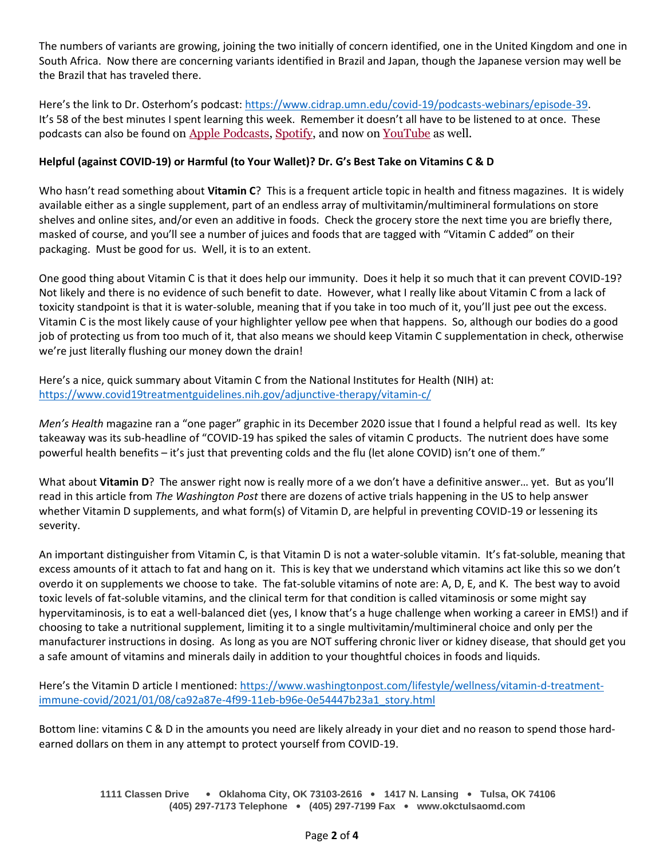The numbers of variants are growing, joining the two initially of concern identified, one in the United Kingdom and one in South Africa. Now there are concerning variants identified in Brazil and Japan, though the Japanese version may well be the Brazil that has traveled there.

Here's the link to Dr. Osterhom's podcast: [https://www.cidrap.umn.edu/covid-19/podcasts-webinars/episode-39.](https://www.cidrap.umn.edu/covid-19/podcasts-webinars/episode-39) It's 58 of the best minutes I spent learning this week. Remember it doesn't all have to be listened to at once. These podcasts can also be found on [Apple Podcasts,](https://podcasts.apple.com/us/podcast/the-osterholm-update-covid-19/id1504360345) [Spotify,](https://open.spotify.com/show/0ymlroFYVlSAnoq0uqECGx) and now on [YouTube](https://www.youtube.com/c/OsterholmUpdateCOVID19) as well.

## **Helpful (against COVID-19) or Harmful (to Your Wallet)? Dr. G's Best Take on Vitamins C & D**

Who hasn't read something about **Vitamin C**? This is a frequent article topic in health and fitness magazines. It is widely available either as a single supplement, part of an endless array of multivitamin/multimineral formulations on store shelves and online sites, and/or even an additive in foods. Check the grocery store the next time you are briefly there, masked of course, and you'll see a number of juices and foods that are tagged with "Vitamin C added" on their packaging. Must be good for us. Well, it is to an extent.

One good thing about Vitamin C is that it does help our immunity. Does it help it so much that it can prevent COVID-19? Not likely and there is no evidence of such benefit to date. However, what I really like about Vitamin C from a lack of toxicity standpoint is that it is water-soluble, meaning that if you take in too much of it, you'll just pee out the excess. Vitamin C is the most likely cause of your highlighter yellow pee when that happens. So, although our bodies do a good job of protecting us from too much of it, that also means we should keep Vitamin C supplementation in check, otherwise we're just literally flushing our money down the drain!

Here's a nice, quick summary about Vitamin C from the National Institutes for Health (NIH) at: <https://www.covid19treatmentguidelines.nih.gov/adjunctive-therapy/vitamin-c/>

*Men's Health* magazine ran a "one pager" graphic in its December 2020 issue that I found a helpful read as well. Its key takeaway was its sub-headline of "COVID-19 has spiked the sales of vitamin C products. The nutrient does have some powerful health benefits – it's just that preventing colds and the flu (let alone COVID) isn't one of them."

What about Vitamin D? The answer right now is really more of a we don't have a definitive answer... yet. But as you'll read in this article from *The Washington Post* there are dozens of active trials happening in the US to help answer whether Vitamin D supplements, and what form(s) of Vitamin D, are helpful in preventing COVID-19 or lessening its severity.

An important distinguisher from Vitamin C, is that Vitamin D is not a water-soluble vitamin. It's fat-soluble, meaning that excess amounts of it attach to fat and hang on it. This is key that we understand which vitamins act like this so we don't overdo it on supplements we choose to take. The fat-soluble vitamins of note are: A, D, E, and K. The best way to avoid toxic levels of fat-soluble vitamins, and the clinical term for that condition is called vitaminosis or some might say hypervitaminosis, is to eat a well-balanced diet (yes, I know that's a huge challenge when working a career in EMS!) and if choosing to take a nutritional supplement, limiting it to a single multivitamin/multimineral choice and only per the manufacturer instructions in dosing. As long as you are NOT suffering chronic liver or kidney disease, that should get you a safe amount of vitamins and minerals daily in addition to your thoughtful choices in foods and liquids.

Here's the Vitamin D article I mentioned: [https://www.washingtonpost.com/lifestyle/wellness/vitamin-d-treatment](https://www.washingtonpost.com/lifestyle/wellness/vitamin-d-treatment-immune-covid/2021/01/08/ca92a87e-4f99-11eb-b96e-0e54447b23a1_story.html)[immune-covid/2021/01/08/ca92a87e-4f99-11eb-b96e-0e54447b23a1\\_story.html](https://www.washingtonpost.com/lifestyle/wellness/vitamin-d-treatment-immune-covid/2021/01/08/ca92a87e-4f99-11eb-b96e-0e54447b23a1_story.html)

Bottom line: vitamins C & D in the amounts you need are likely already in your diet and no reason to spend those hardearned dollars on them in any attempt to protect yourself from COVID-19.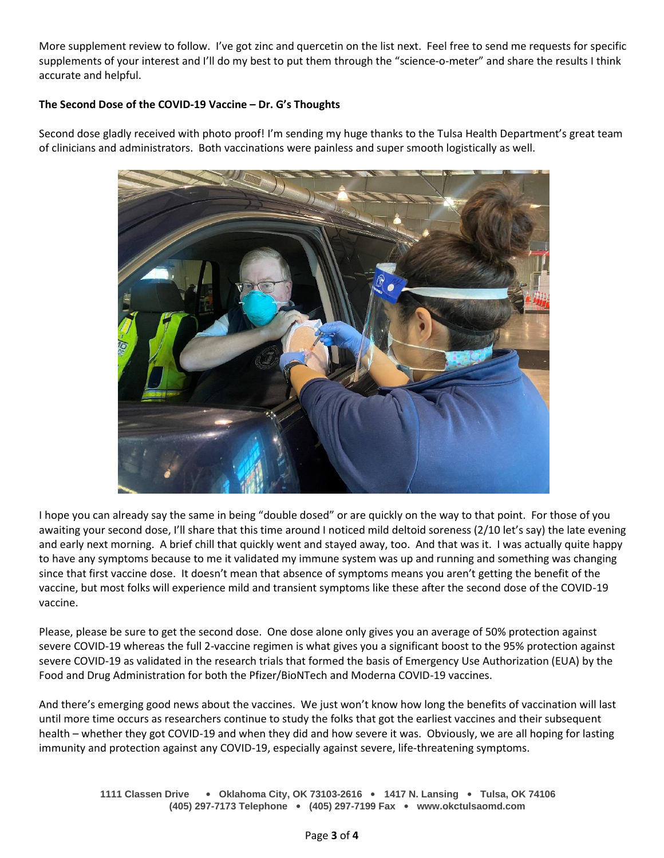More supplement review to follow. I've got zinc and quercetin on the list next. Feel free to send me requests for specific supplements of your interest and I'll do my best to put them through the "science-o-meter" and share the results I think accurate and helpful.

## The Second Dose of the COVID-19 Vaccine - Dr. G's Thoughts

Second dose gladly received with photo proof! I'm sending my huge thanks to the Tulsa Health Department's great team of clinicians and administrators. Both vaccinations were painless and super smooth logistically as well.



I hope you can already say the same in being "double dosed" or are quickly on the way to that point. For those of you awaiting your second dose, I'll share that this time around I noticed mild deltoid soreness (2/10 let's say) the late evening and early next morning. A brief chill that quickly went and stayed away, too. And that was it. I was actually quite happy to have any symptoms because to me it validated my immune system was up and running and something was changing since that first vaccine dose. It doesn't mean that absence of symptoms means you aren't getting the benefit of the vaccine, but most folks will experience mild and transient symptoms like these after the second dose of the COVID-19 vaccine.

Please, please be sure to get the second dose. One dose alone only gives you an average of 50% protection against severe COVID-19 whereas the full 2-vaccine regimen is what gives you a significant boost to the 95% protection against severe COVID-19 as validated in the research trials that formed the basis of Emergency Use Authorization (EUA) by the Food and Drug Administration for both the Pfizer/BioNTech and Moderna COVID-19 vaccines.

And there's emerging good news about the vaccines. We just won't know how long the benefits of vaccination will last until more time occurs as researchers continue to study the folks that got the earliest vaccines and their subsequent health – whether they got COVID-19 and when they did and how severe it was. Obviously, we are all hoping for lasting immunity and protection against any COVID-19, especially against severe, life-threatening symptoms.